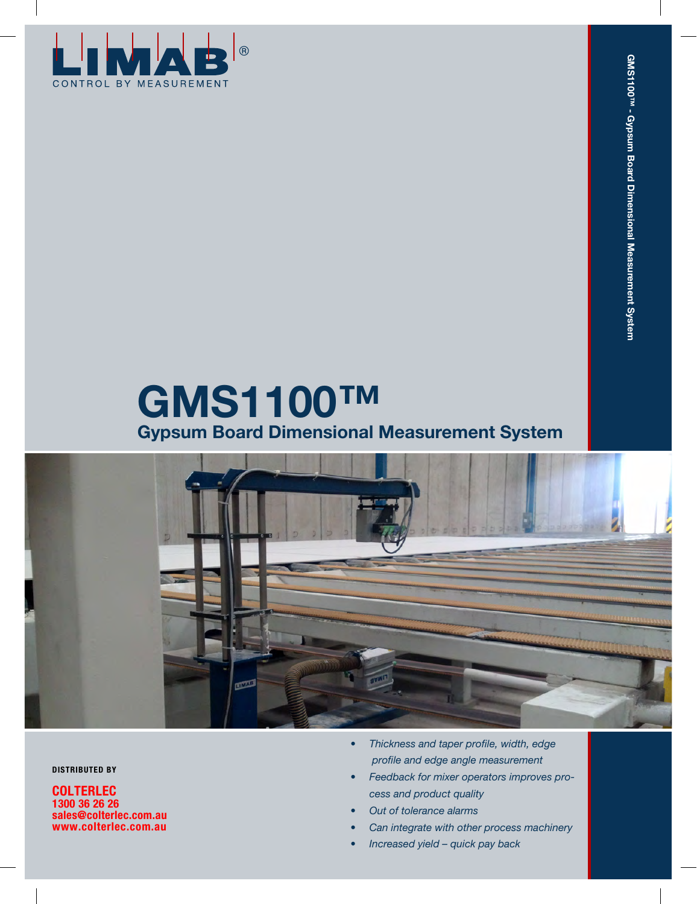

# **GMS1100™ Gypsum Board Dimensional Measurement System**



**DISTRIBUTED BY**

**COLTERLEC 1300 36 26 26 sales@colterlec.com.au www.colterlec.com.au**

- *• Thickness and taper profile, width, edge profile and edge angle measurement*
- *• Feedback for mixer operators improves process and product quality*
- *• Out of tolerance alarms*
- *• Can integrate with other process machinery*
- *• Increased yield quick pay back*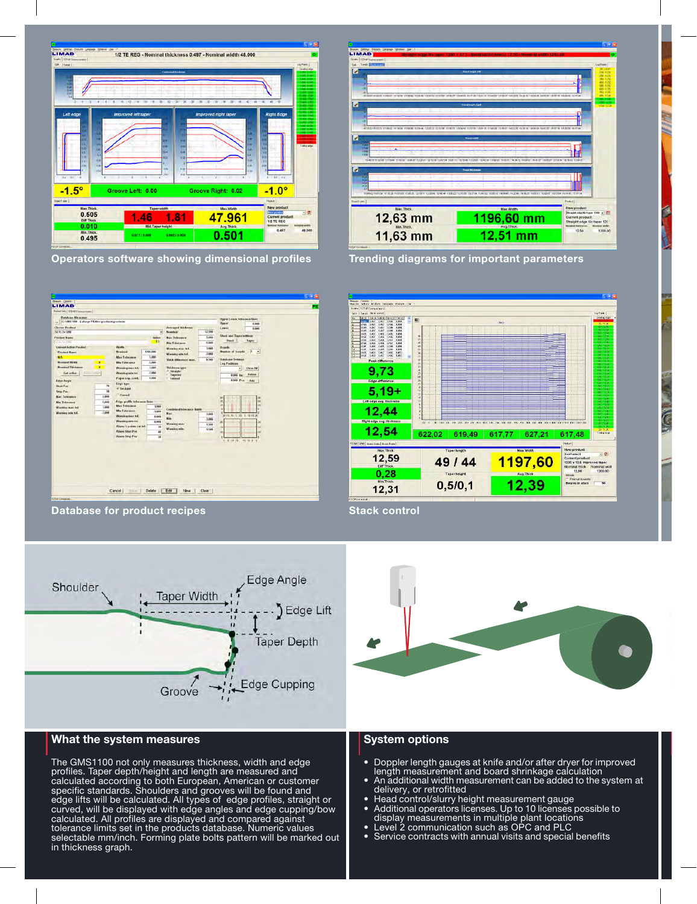

**Operators software showing dimensional profiles Trending diagrams for important parameters**



**Database for product recipes Stack control Stack control** 

LIMAR  $= 1200 - 100$ 12,63 mm 1196,60 mm Current product<br>Straight edge No taper 120<br>Smoothelman  $12.56$ 11,63 mm 12,51 mm

 **Thickness profile measurement**





## **What the system measures**

The GMS1100 not only measures thickness, width and edge profiles. Taper depth/height and length are measured and calculated according to both European, American or customer specific standards. Shoulders and grooves will be found and edge lifts will be calculated. All types of edge profiles, straight or curved, will be displayed with edge angles and edge cupping/bow calculated. All profiles are displayed and compared against tolerance limits set in the products database. Numeric values selectable mm/inch. Forming plate bolts pattern will be marked out in thickness graph.



## **System options**

- Doppler length gauges at knife and/or after dryer for improved length measurement and board shrinkage calculation
- An additional width measurement can be added to the system at delivery, or retrofitted
- Head control/slurry height measurement gauge
- Additional operators licenses. Up to 10 licenses possible to display measurements in multiple plant locations
- Level 2 communication such as OPC and PLC
- Service contracts with annual visits and special benefits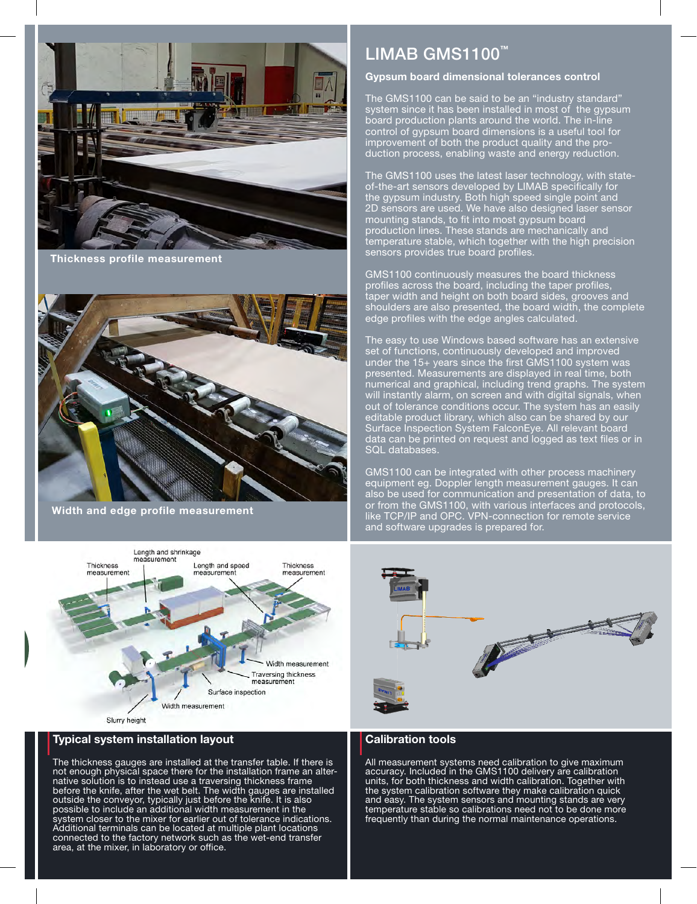

 **Thickness profile measurement**



**Width and edge profile measurement**



#### **Typical system installation layout**

The thickness gauges are installed at the transfer table. If there is not enough physical space there for the installation frame an alternative solution is to instead use a traversing thickness frame before the knife, after the wet belt. The width gauges are installed outside the conveyor, typically just before the knife. It is also possible to include an additional width measurement in the system closer to the mixer for earlier out of tolerance indications. Additional terminals can be located at multiple plant locations connected to the factory network such as the wet-end transfer area, at the mixer, in laboratory or office.

# LIMAB GMS1100**™**

#### **Gypsum board dimensional tolerances control**

The GMS1100 can be said to be an "industry standard" system since it has been installed in most of the gypsum board production plants around the world. The in-line control of gypsum board dimensions is a useful tool for improvement of both the product quality and the production process, enabling waste and energy reduction.

The GMS1100 uses the latest laser technology, with stateof-the-art sensors developed by LIMAB specifically for the gypsum industry. Both high speed single point and 2D sensors are used. We have also designed laser sensor mounting stands, to fit into most gypsum board production lines. These stands are mechanically and temperature stable, which together with the high precision sensors provides true board profiles.

GMS1100 continuously measures the board thickness profiles across the board, including the taper profiles, taper width and height on both board sides, grooves and shoulders are also presented, the board width, the complete edge profiles with the edge angles calculated.

The easy to use Windows based software has an extensive set of functions, continuously developed and improved under the 15+ years since the first GMS1100 system was presented. Measurements are displayed in real time, both numerical and graphical, including trend graphs. The system will instantly alarm, on screen and with digital signals, when out of tolerance conditions occur. The system has an easily editable product library, which also can be shared by our Surface Inspection System FalconEye. All relevant board data can be printed on request and logged as text files or in SQL databases.

GMS1100 can be integrated with other process machinery equipment eg. Doppler length measurement gauges. It can also be used for communication and presentation of data, to or from the GMS1100, with various interfaces and protocols, like TCP/IP and OPC. VPN-connection for remote service and software upgrades is prepared for.



### **Calibration tools**

All measurement systems need calibration to give maximum accuracy. Included in the GMS1100 delivery are calibration units, for both thickness and width calibration. Together with the system calibration software they make calibration quick and easy. The system sensors and mounting stands are very temperature stable so calibrations need not to be done more frequently than during the normal maintenance operations.